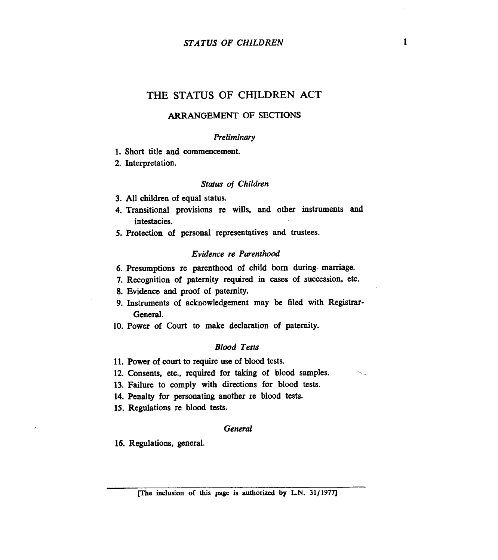### *STATUS OF CHILDREN* **1**

# THE STATUS OF CHILDREN ACT

### **ARRANGEMENT OF SECTIONS**

#### *Preliminary*

**1.** Short title and commencement.

**2.** Interpretation.

#### *Status of Children*

- **3.** All children of equal **status.**
- **4.** Transitional provisions re wills, and other instruments and intestacies.
- *5.* Protection of **personal** representatives and trustees.

#### *Evidence re Parenthood*

- **6.** Presumptions re parenthood of child **born** during. mamage.
- **7.** Recognition of paternity required in cases of succession, etc.
- **8.** Evidence and proof of paternity.
- 9. Instruments of acknowledgement may be filed with Registrar-General.
- **10.** Power of **Court** to make declaration of paternity.

### *Blood Tests*

- **11.** Power of court to require use of blood tests.
- **12.** Consents. etc., required for **taking** of blood samples.
- **13.** Failure to comply with directions for blood tests.
- **14.** Penalty for personating another re blood tests.
- **15.** Regulations re blood tests.

#### *General*

**16.** Regulations, general.

 $\ddot{\phantom{0}}$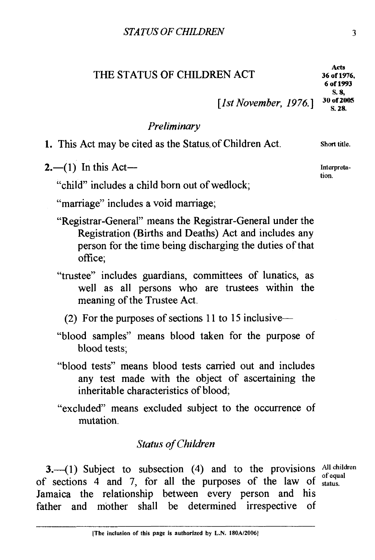THE STATUS OF CHILDREN ACT **<sup>36</sup>of 1976,** 

# 2.-(1) In this Act-

*Preliminary* 

"child" includes a child born out of wedlock;

"marriage" includes a void marriage;

- "Registrar-General" means the Registrar-General under the Registration (Births and Deaths) Act and includes any person for the time being discharging the duties of that office;
- "trustee" includes guardians, committees of lunatics, as well as all persons who are trustees within the meaning of the Trustee Act.
	- (2) For the purposes of sections 11 to 15 inclusive--
- "blood samples" means blood taken for the purpose of blood tests;
- "blood tests" means blood tests carried out and includes any test made with the object of ascertaining the inheritable characteristics of blood;
- "excluded" means excluded subject to the occurrence of mutation.

## *Status of Children*

3.<sup>---</sup>(1) Subject to subsection (4) and to the provisions All children of sections 4 and 7, for all the purposes of the law of *status*. Jamaica the relationship between every person and his father and mother shall be determined irrespective of

1. This Act may be cited as the Status, of Children Act. **short title.** 

*[1st November, 1976.]* <sup>30 of 20</sup> *s.* 28.

**tion.**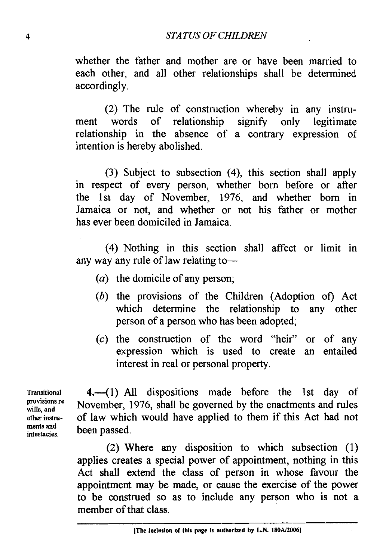#### *STATUS OF CHILDREN*

whether the father and mother are or have been married to each other, and all other relationships shall be determined accordingly.

(2) The rule of construction whereby in any instrument words of relationship signify only legitimate relationship in the absence of a contrary expression of intention is hereby abolished.

(3) Subject to subsection (4), this section shall apply in respect of every person, whether born before or after the 1st day of November, 1976, and whether born in Jamaica or not, and whether or not his father or mother has ever been domiciled in Jamaica.

(4) Nothing in this section shall affect or limit in any way any rule of law relating to-

- ( $a$ ) the domicile of any person;
- (b) the provisions of the Children (Adoption of) Act which determine the relationship to any other person of a person who has been adopted;
- $(c)$  the construction of the word "heir" or of any expression which is used to create an entailed interest in real or personal property.

**provisions re ments and** 

Transitional 4.<sup>-</sup> (1) All dispositions made before the 1st day of November, 1976, shall be governed by the enactments and rules **otherinstru-** of law which would have applied to them if this Act had not ments and **been** passed.

> (2) Where any disposition to which subsection (1) applies creates a special power of appointment, nothing in this Act shall extend the class of person in whose favour the appointment may be made, or cause the exercise of the power to be construed so as to include any person who is not a member of that class.

<sup>[</sup>The inclusion of this page is authorized by L.N. 180A/2006]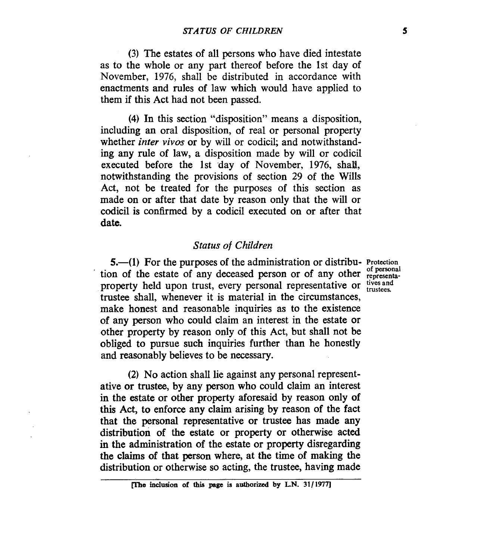(3) The estates of all persons who have died intestate as to the whole or any part thereof before the 1st day of November, 1976, shall be distributed in accordance with enactments and rules of law which would have applied to them if this Act had not been passed.

**(4)** In this section "disposition" means a disposition, including an oral disposition, of real or personal property whether *inter vivos* or by will or codicil; and notwithstanding any rule of law, **a** disposition made by will or codicil executed before the 1st 'day of November, 1976, shall, notwithstanding the provisions of section 29 of the Wills Act, not be treated for the purposes of this section as made on or after that date by reason only that the will or codicil is confirmed by a codicil executed on or after that date.

# *Status of Children*

5.-(1) For the purposes of the administration or distribu- **Protection**  tion of the estate of any deceased person or of any other representaproperty held upon trust, every personal representative or tives and trustee shall, whenever it is material in the circumstances, make honest and reasonable inquiries as to the existence of any person who could claim an interest in the estate or other property by reason only of this Act, but shall not be obliged to pursue such inquiries further than he honestly and reasonably believes to be necessary.

**(2)** No action shall lie against any personal representative or trustee, by any person who could claim an interest in the estate or other property aforesaid by reason only of this Act, to enforce any claim arising by reason of the fact that the personal representative or trustee has made any distribution of the estate or property or otherwise acted in the administration of the estate or property disregarding the claims of that person where, at the time of making the distribution or otherwise so acting, the trustee, having made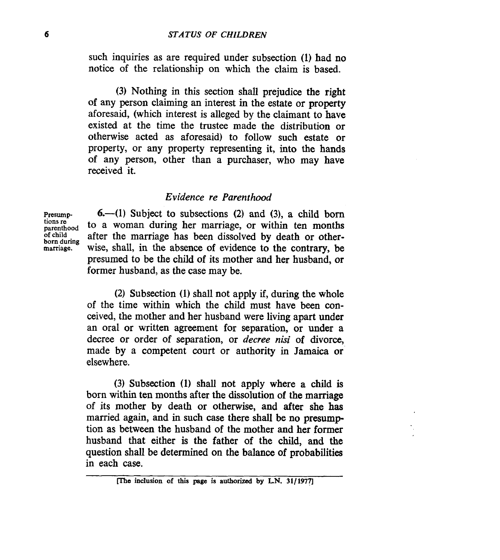such inquiries as are required under subsection (1) had no notice of the relationship on which the claim is based.

(3) Nothing in this section shall prejudice the right **of** any person claiming an interest in the estate or property aforesaid, (which interest is alleged by the claimant to have existed at the time the trustee made the distribution or otherwise acted as aforesaid) to follow such estate or property, or any property representing it, into the hands of any person, other than a purchaser, who may have received it.

## *Evidence re Parenthood*

**tions re born during** 

**Presump- 6.41)** Subject to subsections **(2)** and (3), a child born tions re<br>parenthood **to a woman during her marriage**, or within ten months<br>of child after the marriage has been dissolved by death or otherafter the marriage has been dissolved by death or other**marriage.** wise, shall, in the absence **of** evidence to the contrary, be presumed to be the child of its mother and her husband, or former husband, as the case may be.

> **(2)** Subsection (1) shall not apply if, during the whole of the time within which the child must have been conceived, the mother and her husband were living apart under an oral or written agreement for separation, or under a decree or order of separation, or *decree nisi* of divorce, made by a competent court or authority in Jamaica or elsewhere.

> (3) Subsection (1) shall not apply where a child is born within ten months after the dissolution **of** the marriage of its mother by death or otherwise, and after she has married again, and in such case there shall be no presumption **as** between the husband of the mother and her former husband that either is the father of the child, and the question shall be determined on the balance of probabilities in each case.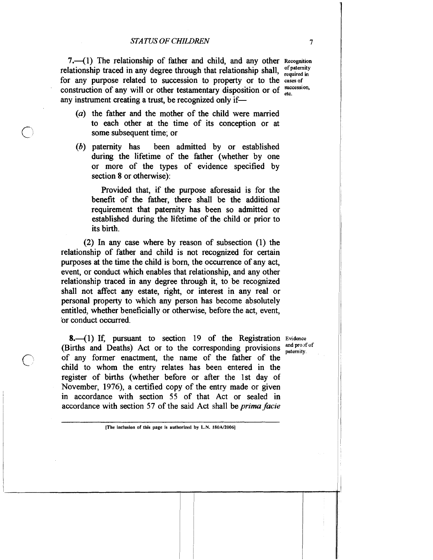7.-(1) The relationship of father and child, and any other **Recognition**  relationship traced in any degree through that relationship shall,  $\frac{of\text{ patemity}}{required \text{ in}}$ for any purpose related to succession to property or to the **casesof**  construction of any will or other testamentary disposition or of  $\frac{\text{succ}}{\text{min}}$ any instrument creating a trust, be recognized only if-

- (a) the father and the mother of the child were married to each other at the time of its conception or at some subsequent time; or
- (b) paternity has been admitted by or established during the lifetime of the father (whether by one or more of the types of evidence specified by section 8 or otherwise):

Provided that, if the purpose aforesaid is for the benefit of the father, there shall be the additional requirement that paternity has been so admitted or established during the lifetime of the child or prior to its birth.

(2) In any case where by reason of subsection (1) the relationship of father and child is not recognized for certain purposes at the time the child is born, the occurrence of any act, event, or conduct which enables that relationship, and any other relationship traced in any degree through it, to be recognized shall not affect any estate, right, or interest in any real or personal property to which any person has become absolutely entitled, whether beneficially or otherwise, before the act, event, 'or conduct occurred.

8.<sup>(1)</sup> If, pursuant to section 19 of the Registration Evidence **Evidence Evidence Evidence Evidence Evidence Evidence Evidence Evidence Evidence Evidence Evidence Evidence Evidence Evidence Evi** (Births and Deaths) Act or to the corresponding provisions paternity. of any former enactment, the name of the father of the child to whom the entry relates has been entered in the register of births (whether before or after the 1st day of November, 1976), a certified copy of the entry made or given in accordance with section 55 of that Act or sealed in accordance with section 57 of the said Act shall be prima facie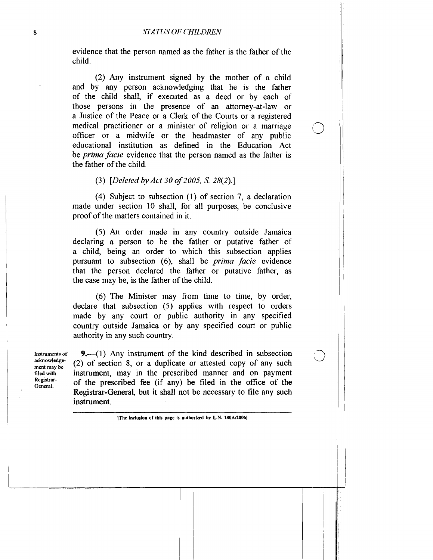evidence that the person named as the father is the father of the child.

(2) Any instrument signed by the mother of a child and by any person acknowledging that he is the father of the child shall, if executed as a deed or by each of those persons in the presence of an attorney-at-law or a Justice of the Peace or a Clerk of the Courts or a registered medical practitioner or a minister of religion or a marriage officer or a midwife or the headmaster of any public educational institution as defined in the Education Act be *prima facie* evidence that the person named as the father is the father of the child.

*(3) [Dekted by Act* 30 *of* 2005, S. 28(2).]

(4) Subject to subsection (1) of section 7, a declaration made under section 10 shall, for all purposes, be conclusive proof of the matters contained in it.

(5) An order made in any country outside Jamaica declaring a person to be the father or putative father of a child, being an order to which this subsection applies pursuant to subsection (6), shall be *prima facie* evidence that the person declared the father or putative father, as the case may be, is the father of the child.

(6) The Minister may from time to time, by order, declare that subsection (5) applies with respect to orders made by any court or public authority in any specified country outside Jamaica or by any specified court or public authority in any such country.

**acknowledge-**

**Instrumentsof** 9.-(1) Any instrument of the kind described in subsection acknowledge-<br>ment may be (2) of section 8, or a duplicate or attested copy of any such<br>filed with instrument, may in the prescribed manner and on payment **filedwith** instrument, may in the prescribed manner and on payment **Registrar-General.** of the prescribed fee (if any) be filed in the office of the Registrar-General, but it shall not be necessary to file any such instrument.

**<sup>[</sup>The inclusion of this page is authorized by L.N. 180A/2006]**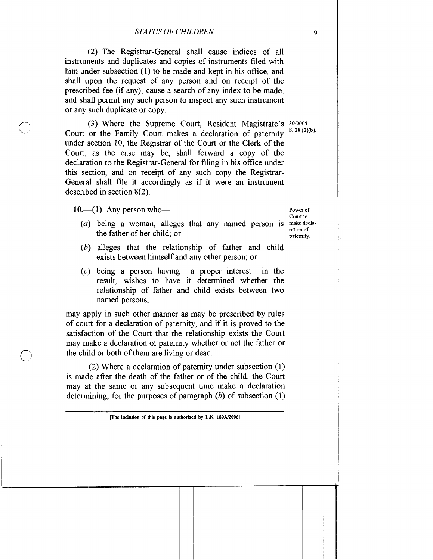(2) The Registrar-General shall cause indices of all instruments and duplicates and copies of instruments filed with him under subsection (1) to be made and kept in his office, and shall upon the request of any person and on receipt of the prescribed fee (if any), cause a search of any index to be made, and shall permit any such person to inspect any such instrument or any such duplicate or copy.

(3) Where the Supreme Court, Resident Magistrate's <sup>30/2005</sup> Court or the Family Court makes a declaration of paternity <sup>8. 28</sup>(2)(b). under section 10, the Registrar of the Court or the Clerk of the Court, as the case may be, shall forward a copy of the declaration to the Registrar-General for filing in his ofice under this section, and on receipt of any such copy the Registrar-General shall file it accordingly as if it were an instrument described in section **8(2).** 

 $10.$  (1) Any person who-

- *(a)* being a woman, alleges that any named person is makedeclathe father of her child; or
- *(b)* alleges that the relationship of father and child exists between himself and any other person; or
- (c) being a person having a proper interest in the result, wishes to have it determined whether the relationship of father and child exists between two named persons,

may apply in such other manner as may be prescribed by rules of court for a declaration of paternity, and if it is proved to the satisfaction of the Court that the relationship exists the Court may make a declaration of paternity whether or not the father or the child or both of them are living or dead.

(2) Where a declaration of paternity under subsection (1) is made after the death of the father or of the child, the Court may at the same or any subsequent time make a declaration determining, for the purposes of paragraph *(b)* of subsection (1)

Court to ration of paternity.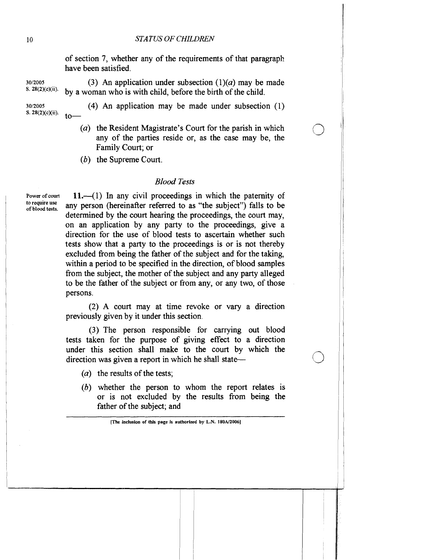# *STATUS OF CHILDREN*

of section 7, whether any of the requirements of that paragraph have been satisfied.

 $30/2005$  (3) An application under subsection  $(1)(a)$  may be made<br>  $3.28(2)(e)(ii)$  by a vector who is with a bild before the high of the abild by a woman who is with child, before the birth of the child.

**S. 28(2)(c)(ii).** to-

- **30/2005** (4) **An** application may be made under subsection (1)
	- (a) the Resident Magistrate's Court for the parish in which any of the parties reside or, as the case may be, the Family Court; or
	- (b) the Supreme Court.

# *Blood Tests*

Power of court **11.**—(1) In any civil proceedings in which the paternity of to require use **to require use of blood tests.** any person (hereinafter referred to as "the subject") falls to be determined by the court hearing the proceedings, the court may, on an application by any party to the proceedings, give a direction for the use of blood tests to ascertain whether such tests show that a party to the proceedings is or is not thereby excluded from being the father of the subject and for the taking, within a period to be specified in the direction, of blood samples from the subject, the mother of the subject and any party alleged to be the father of the subject or from any, or any two, of those persons.

> (2) A court may at time revoke or vary a direction previously given by it under this section.

> (3) The person responsible for carrying out blood tests taken for the purpose of giving effect to a direction under this section shall make to the court by which the direction was given a report in which he shall state—

- (*a*) the results of the tests;
- (b) whether the person to whom the report relates is or is not excluded by the results from being the father of the subject; and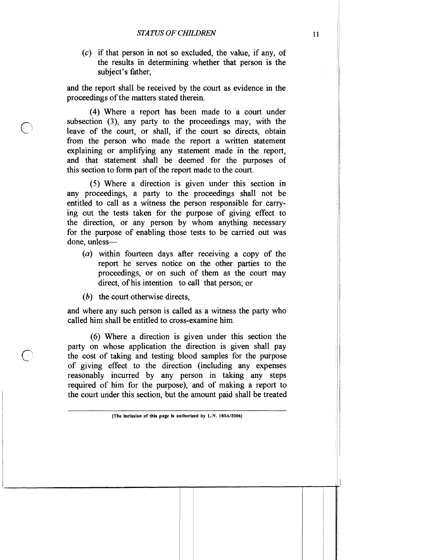(c) if that person in not so excluded, the value, if any, of the results in determining whether that person is the subject's father,

and the report shall be received by the court as evidence in the proceedings of the matters stated therein.

(4) Where a report has been made to a court under subsection **(3),** any party to the proceedings may, with the leave of the court, or shall, if the court so directs, obtain from the person who made the report a written statement explaining or amplifying any statement made in the report, and that statement shall be deemed for the purposes of this section to form part of the report made to the court.

(5) Where a direction is given under this section in any proceedings, a party to the proceedings shall not be entitled to call as a witness the person responsible for carrying out the tests taken for the purpose of giving effect to the direction, or any person by whom anything necessary for the purpose of enabling those tests to be carried out was done, unless-

- $(a)$  within fourteen days after receiving a copy of the report he serves notice on the other parties to the proceedings, or on such of them as the court may direct, of his intention to call that person; or
- (b) the court otherwise directs,

and where any such person is called as a witness the party who called him shall be entitled to cross-examine him.

(6) Where a direction is given under this section the party on whose application the direction is given shall pay the cost of taking and testing blood samples for the purpose of giving effect to the direction (including any expenses reasonably incurred by any person in taking any steps required of him for the purpose), and of making a report to the court under this section, but the amount paid shall be treated

**<sup>[</sup>The inclusion of this page is authorized by L.N.** *180Alt006)*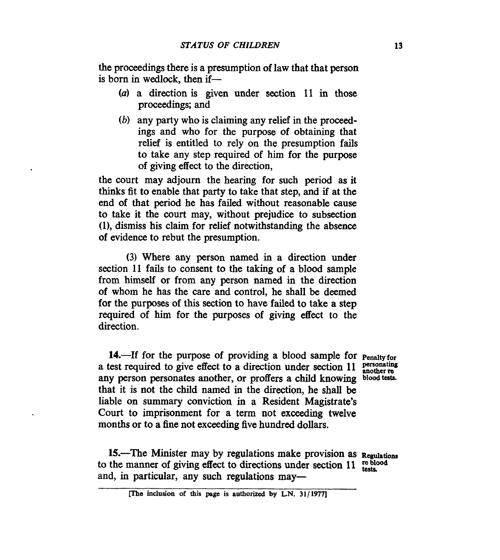the proceedings there is a presumption of law that that person is born in wedlock, then if-

- *(a)* a direction is given under section 11 in those proceedings; and
- *(b)* any party who is claiming any relief in the proceedings and who for the purpose of obtaining that relief is entitled to rely on the presumption fails to take any step required of him for the purpose of giving effect to the direction,

the court may adjourn the hearing for such period as it thinks fit **to** enable that party to take that step, and if at the end of that period he has failed without reasonable cause to take it the **court** may, without prejudice to subsection **(l),** dismiss his claim for relief notwithstanding the absence of evidence to rebut the presumption.

(3) Where any person named in a direction under section 11 fails to consent to the taking of a blood sample from himself or from any person named in the direction of whoin he has the care and control, he shall be deemed for the purposes of this section to have failed to take a step required of him for the purposes of giving effect to the direction.

14.-If for the purpose of providing a blood sample for **Penalty** for<br>a test required to give effect to a direction under section 11 **personating**<br>any parameter another or profism a shild lungwise, blood tother a ust required to give encet to a uncetton under section 11 another really person personates another, or proffers a child knowing blood tests. that it is not the child named in the direction, he shall be liable on summary conviction in a Resident Magistrate's Court to imprisonment for a term not exceeding twelve months or to a fine not exceeding five hundred dollars.

15.-The Minister may by regulations make provision as Regulations to the manner of giving effect to directions under section **11**  and, in particular, any such regulations may—

**me inclusion of this pege is authorized by L.N. 31/1977]**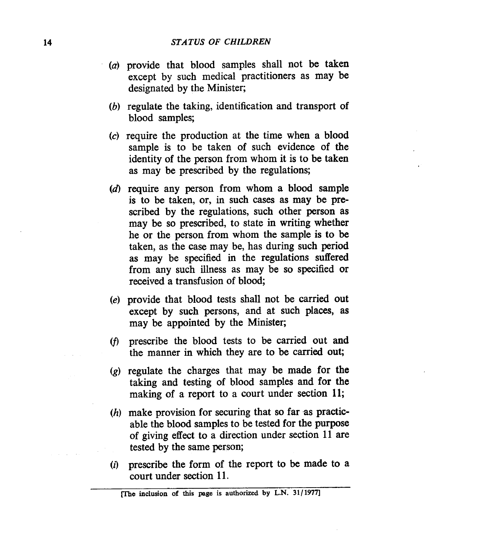- $(a)$  provide that blood samples shall not be taken except by such medical practitioners as may be designated by the Minister;
- $\alpha$  regulate the taking, identification and transport of blood samples;
- $(c)$  require the production at the time when a blood sample is to be taken of such evidence of the identity of the person from whom it is to be taken as may be prescribed by the regulations;
- $(d)$  require any person from whom a blood sample is to be taken, or, in such cases as may be prescribed by the regulations, such other person as may be so prescribed, to state in writing whether he or the person from whom the sample is to be taken, as the case may be, has during such period as may be specified in the regulations suffered from any such illness as may be so specified or received a transfusion of blood;
- provide that blood tests shall not be carried out except by such persons, and at such places, **as**  may be appointed by the Minister;
- prescribe the blood tests to be carried out and the manner in which they are to be carried out;
- $\left(\varrho\right)$  regulate the charges that may be made for the taking and testing of blood samples and for **the**  making of a report to a court under section **11;**
- $(h)$  make provision for securing that so far as practicable the blood samples to be tested for the purpose of giving effect to a direction under section 11 are tested by the same person;
- $(i)$  prescribe the form of the report to be made to a court under section 11.

**me inclusion of this page is authorized by L.N. 31/1977]**